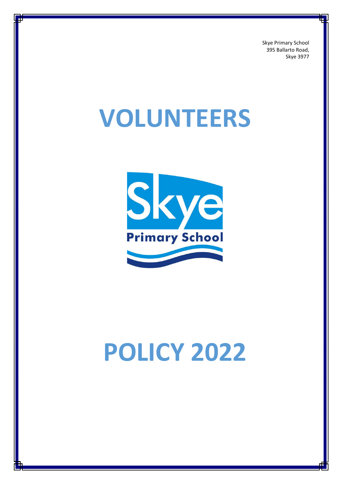Skye Primary School 395 Ballarto Road, Skye 3977

## **VOLUNTEERS**



# **POLICY 2022**

1 Volunteers Policy\_SKPS\_2022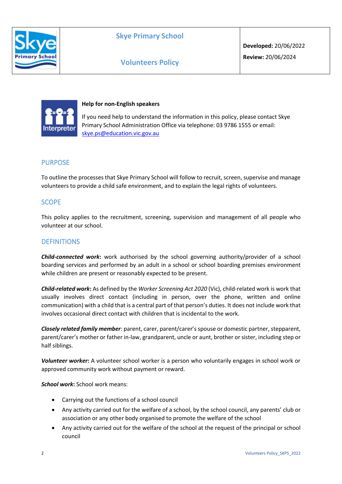

## **Skye Primary School**

## **Volunteers Policy**



#### **Help for non-English speakers**

If you need help to understand the information in this policy, please contact Skye Primary School Administration Office via telephone: 03 9786 1555 or email: [skye.ps@education.vic.gov.au](mailto:skye.ps@education.vic.gov.au)

## PURPOSE

To outline the processes that Skye Primary School will follow to recruit, screen, supervise and manage volunteers to provide a child safe environment, and to explain the legal rights of volunteers.

## **SCOPE**

This policy applies to the recruitment, screening, supervision and management of all people who volunteer at our school.

#### **DEFINITIONS**

*Child-connected work***:** work authorised by the school governing authority/provider of a school boarding services and performed by an adult in a school or school boarding premises environment while children are present or reasonably expected to be present.

*Child-related work***:** As defined by the *Worker Screening Act 2020* (Vic), child-related work is work that usually involves direct contact (including in person, over the phone, written and online communication) with a child that is a central part of that person's duties. It does not include work that involves occasional direct contact with children that is incidental to the work.

*Closely related family member:* parent, carer, parent/carer's spouse or domestic partner, stepparent, parent/carer's mother or father in-law, grandparent, uncle or aunt, brother or sister, including step or half siblings.

*Volunteer worker***:** A volunteer school worker is a person who voluntarily engages in school work or approved community work without payment or reward.

*School work***:** School work means:

- Carrying out the functions of a school council
- Any activity carried out for the welfare of a school, by the school council, any parents' club or association or any other body organised to promote the welfare of the school
- Any activity carried out for the welfare of the school at the request of the principal or school council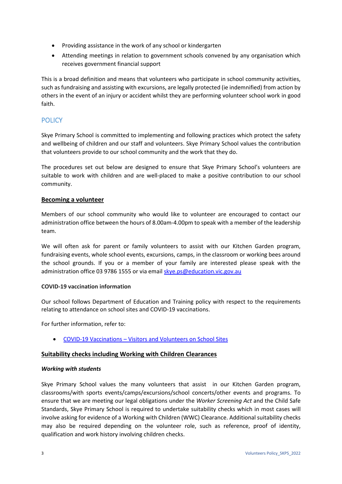- Providing assistance in the work of any school or kindergarten
- Attending meetings in relation to government schools convened by any organisation which receives government financial support

This is a broad definition and means that volunteers who participate in school community activities, such as fundraising and assisting with excursions, are legally protected (ie indemnified) from action by others in the event of an injury or accident whilst they are performing volunteer school work in good faith.

## **POLICY**

Skye Primary School is committed to implementing and following practices which protect the safety and wellbeing of children and our staff and volunteers. Skye Primary School values the contribution that volunteers provide to our school community and the work that they do.

The procedures set out below are designed to ensure that Skye Primary School's volunteers are suitable to work with children and are well-placed to make a positive contribution to our school community.

#### **Becoming a volunteer**

Members of our school community who would like to volunteer are encouraged to contact our administration office between the hours of 8.00am-4.00pm to speak with a member of the leadership team.

We will often ask for parent or family volunteers to assist with our Kitchen Garden program, fundraising events, whole school events, excursions, camps, in the classroom or working bees around the school grounds. If you or a member of your family are interested please speak with the administration office 03 9786 1555 or via email [skye.ps@education.vic.gov.au](mailto:skye.ps@education.vic.gov.au)

#### **COVID-19 vaccination information**

Our school follows Department of Education and Training policy with respect to the requirements relating to attendance on school sites and COVID-19 vaccinations.

For further information, refer to:

• COVID-19 Vaccinations – [Visitors and Volunteers on School Sites](https://www2.education.vic.gov.au/pal/covid-19-vaccinations-visitors-volunteers/policy)

#### **Suitability checks including Working with Children Clearances**

#### *Working with students*

Skye Primary School values the many volunteers that assist in our Kitchen Garden program, classrooms/with sports events/camps/excursions/school concerts/other events and programs. To ensure that we are meeting our legal obligations under the *Worker Screening Act* and the Child Safe Standards, Skye Primary School is required to undertake suitability checks which in most cases will involve asking for evidence of a Working with Children (WWC) Clearance. Additional suitability checks may also be required depending on the volunteer role, such as reference, proof of identity, qualification and work history involving children checks.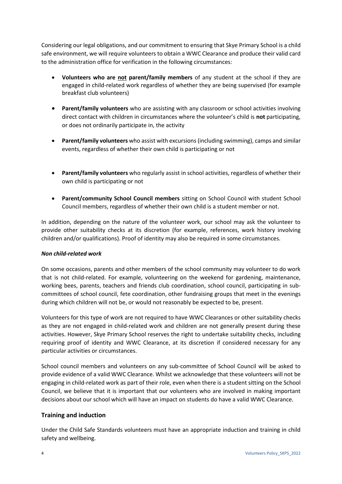Considering our legal obligations, and our commitment to ensuring that Skye Primary School is a child safe environment, we will require volunteers to obtain a WWC Clearance and produce their valid card to the administration office for verification in the following circumstances:

- **Volunteers who are not parent/family members** of any student at the school if they are engaged in child-related work regardless of whether they are being supervised (for example breakfast club volunteers)
- **Parent/family volunteers** who are assisting with any classroom or school activities involving direct contact with children in circumstances where the volunteer's child is **not** participating, or does not ordinarily participate in, the activity
- **Parent/family volunteers** who assist with excursions (including swimming), camps and similar events, regardless of whether their own child is participating or not
- **Parent/family volunteers** who regularly assist in school activities, regardless of whether their own child is participating or not
- **Parent/community School Council members** sitting on School Council with student School Council members, regardless of whether their own child is a student member or not.

In addition, depending on the nature of the volunteer work, our school may ask the volunteer to provide other suitability checks at its discretion (for example, references, work history involving children and/or qualifications). Proof of identity may also be required in some circumstances.

#### *Non child-related work*

On some occasions, parents and other members of the school community may volunteer to do work that is not child-related. For example, volunteering on the weekend for gardening, maintenance, working bees, parents, teachers and friends club coordination, school council, participating in subcommittees of school council, fete coordination, other fundraising groups that meet in the evenings during which children will not be, or would not reasonably be expected to be, present.

Volunteers for this type of work are not required to have WWC Clearances or other suitability checks as they are not engaged in child-related work and children are not generally present during these activities. However, Skye Primary School reserves the right to undertake suitability checks, including requiring proof of identity and WWC Clearance, at its discretion if considered necessary for any particular activities or circumstances.

School council members and volunteers on any sub-committee of School Council will be asked to provide evidence of a valid WWC Clearance. Whilst we acknowledge that these volunteers will not be engaging in child-related work as part of their role, even when there is a student sitting on the School Council, we believe that it is important that our volunteers who are involved in making important decisions about our school which will have an impact on students do have a valid WWC Clearance.

#### **Training and induction**

Under the Child Safe Standards volunteers must have an appropriate induction and training in child safety and wellbeing.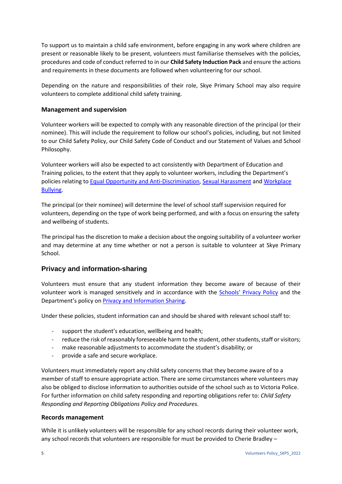To support us to maintain a child safe environment, before engaging in any work where children are present or reasonable likely to be present, volunteers must familiarise themselves with the policies, procedures and code of conduct referred to in our **Child Safety Induction Pack** and ensure the actions and requirements in these documents are followed when volunteering for our school.

Depending on the nature and responsibilities of their role, Skye Primary School may also require volunteers to complete additional child safety training.

#### **Management and supervision**

Volunteer workers will be expected to comply with any reasonable direction of the principal (or their nominee). This will include the requirement to follow our school's policies, including, but not limited to our Child Safety Policy, our Child Safety Code of Conduct and our Statement of Values and School Philosophy.

Volunteer workers will also be expected to act consistently with Department of Education and Training policies, to the extent that they apply to volunteer workers, including the Department's policies relating to [Equal Opportunity and Anti-Discrimination,](https://www2.education.vic.gov.au/pal/equal-opportunity/policy-and-guidelines) [Sexual Harassment](https://www2.education.vic.gov.au/pal/sexual-harassment/overview) and [Workplace](https://www2.education.vic.gov.au/pal/workplace-bullying/policy)  [Bullying.](https://www2.education.vic.gov.au/pal/workplace-bullying/policy)

The principal (or their nominee) will determine the level of school staff supervision required for volunteers, depending on the type of work being performed, and with a focus on ensuring the safety and wellbeing of students.

The principal has the discretion to make a decision about the ongoing suitability of a volunteer worker and may determine at any time whether or not a person is suitable to volunteer at Skye Primary School.

## **Privacy and information-sharing**

Volunteers must ensure that any student information they become aware of because of their volunteer work is managed sensitively and in accordance with the Schools' [Privacy Policy](https://www.education.vic.gov.au/Pages/schoolsprivacypolicy.aspx) and the Department's policy on [Privacy and Information Sharing.](https://www2.education.vic.gov.au/pal/privacy-information-sharing/policy)

Under these policies, student information can and should be shared with relevant school staff to:

- support the student's education, wellbeing and health;
- reduce the risk of reasonably foreseeable harm to the student, other students, staff or visitors;
- make reasonable adjustments to accommodate the student's disability; or
- provide a safe and secure workplace.

Volunteers must immediately report any child safety concerns that they become aware of to a member of staff to ensure appropriate action. There are some circumstances where volunteers may also be obliged to disclose information to authorities outside of the school such as to Victoria Police. For further information on child safety responding and reporting obligations refer to: *Child Safety Responding and Reporting Obligations Policy and Procedures.* 

#### **Records management**

While it is unlikely volunteers will be responsible for any school records during their volunteer work, any school records that volunteers are responsible for must be provided to Cherie Bradley –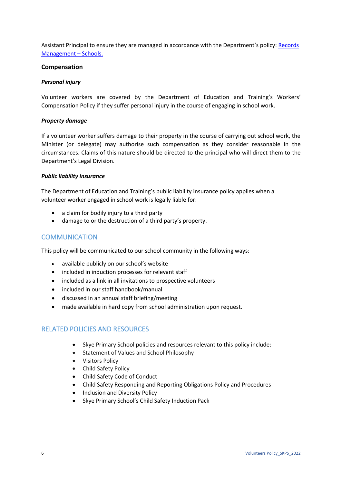Assistant Principal to ensure they are managed in accordance with the Department's policy[: Records](https://www2.education.vic.gov.au/pal/records-management/policy)  [Management](https://www2.education.vic.gov.au/pal/records-management/policy) – Schools.

#### **Compensation**

#### *Personal injury*

Volunteer workers are covered by the Department of Education and Training's Workers' Compensation Policy if they suffer personal injury in the course of engaging in school work.

#### *Property damage*

If a volunteer worker suffers damage to their property in the course of carrying out school work, the Minister (or delegate) may authorise such compensation as they consider reasonable in the circumstances. Claims of this nature should be directed to the principal who will direct them to the Department's Legal Division.

#### *Public liability insurance*

The Department of Education and Training's public liability insurance policy applies when a volunteer worker engaged in school work is legally liable for:

- a claim for bodily injury to a third party
- damage to or the destruction of a third party's property.

#### **COMMUNICATION**

This policy will be communicated to our school community in the following ways:

- available publicly on our school's website
- included in induction processes for relevant staff
- included as a link in all invitations to prospective volunteers
- included in our staff handbook/manual
- discussed in an annual staff briefing/meeting
- made available in hard copy from school administration upon request.

## RELATED POLICIES AND RESOURCES

- Skye Primary School policies and resources relevant to this policy include:
- Statement of Values and School Philosophy
- Visitors Policy
- Child Safety Policy
- Child Safety Code of Conduct
- Child Safety Responding and Reporting Obligations Policy and Procedures
- Inclusion and Diversity Policy
- Skye Primary School's Child Safety Induction Pack